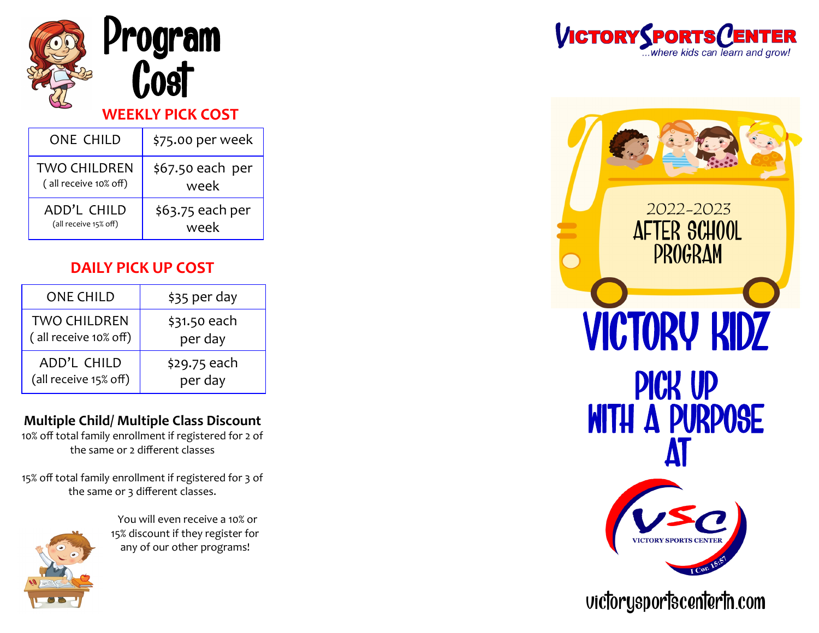

| <b>ONE CHILD</b>      | \$75.00 per week |
|-----------------------|------------------|
| <b>TWO CHILDREN</b>   | \$67.50 each per |
| (all receive 10% off) | week             |
| ADD'L CHILD           | \$63.75 each per |
| (all receive 15% off) | week             |

#### **DAILY PICK UP COST**

| <b>ONE CHILD</b>      | \$35 per day |
|-----------------------|--------------|
| <b>TWO CHILDREN</b>   | \$31.50 each |
| (all receive 10% off) | per day      |
| ADD'L CHILD           | \$29.75 each |
| (all receive 15% off) | per day      |

#### **Multiple Child/ Multiple Class Discount**

10% off total family enrollment if registered for 2 of the same or 2 different classes

15% off total family enrollment if registered for 3 of the same or 3 different classes.



 You will even receive a 10% or 15% discount if they register for any of our other programs!





### victorysportscentertn.com